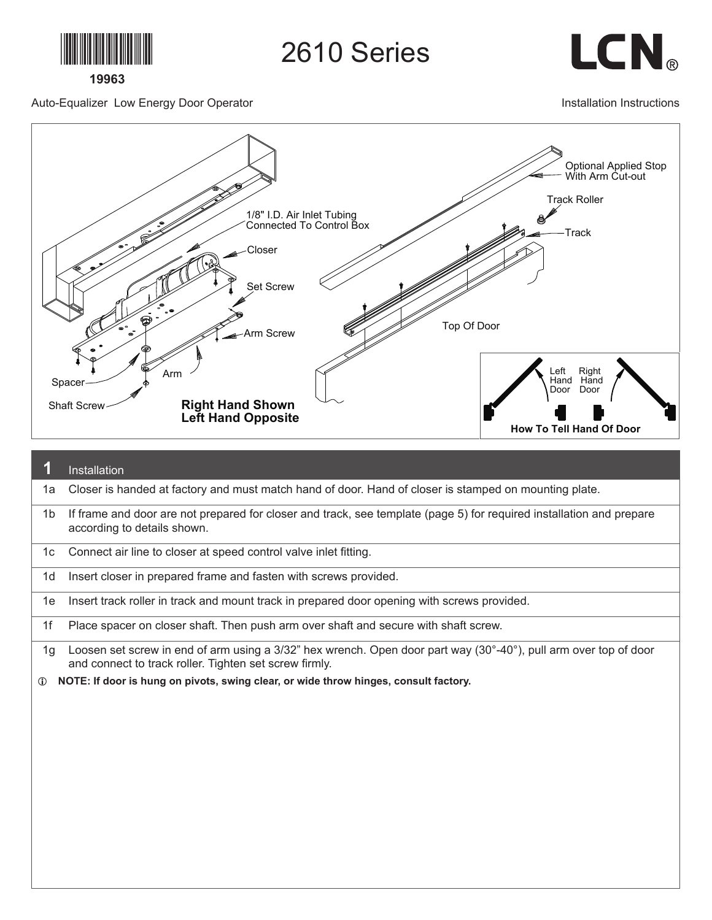

2610 Series

LCN<sub>®</sub>

Auto-Equalizer Low Energy Door Operator

Installation Instructions



|                | Installation                                                                                                                                                               |
|----------------|----------------------------------------------------------------------------------------------------------------------------------------------------------------------------|
| 1a             | Closer is handed at factory and must match hand of door. Hand of closer is stamped on mounting plate.                                                                      |
| 1 <sub>b</sub> | If frame and door are not prepared for closer and track, see template (page 5) for required installation and prepare<br>according to details shown.                        |
| 1c             | Connect air line to closer at speed control valve inlet fitting.                                                                                                           |
| 1d             | Insert closer in prepared frame and fasten with screws provided.                                                                                                           |
| 1e             | Insert track roller in track and mount track in prepared door opening with screws provided.                                                                                |
| 1f             | Place spacer on closer shaft. Then push arm over shaft and secure with shaft screw.                                                                                        |
| 1g             | Loosen set screw in end of arm using a 3/32" hex wrench. Open door part way (30°-40°), pull arm over top of door<br>and connect to track roller. Tighten set screw firmly. |
| $\mathbf{D}$   | NOTE: If door is hung on pivots, swing clear, or wide throw hinges, consult factory.                                                                                       |
|                |                                                                                                                                                                            |
|                |                                                                                                                                                                            |
|                |                                                                                                                                                                            |
|                |                                                                                                                                                                            |
|                |                                                                                                                                                                            |
|                |                                                                                                                                                                            |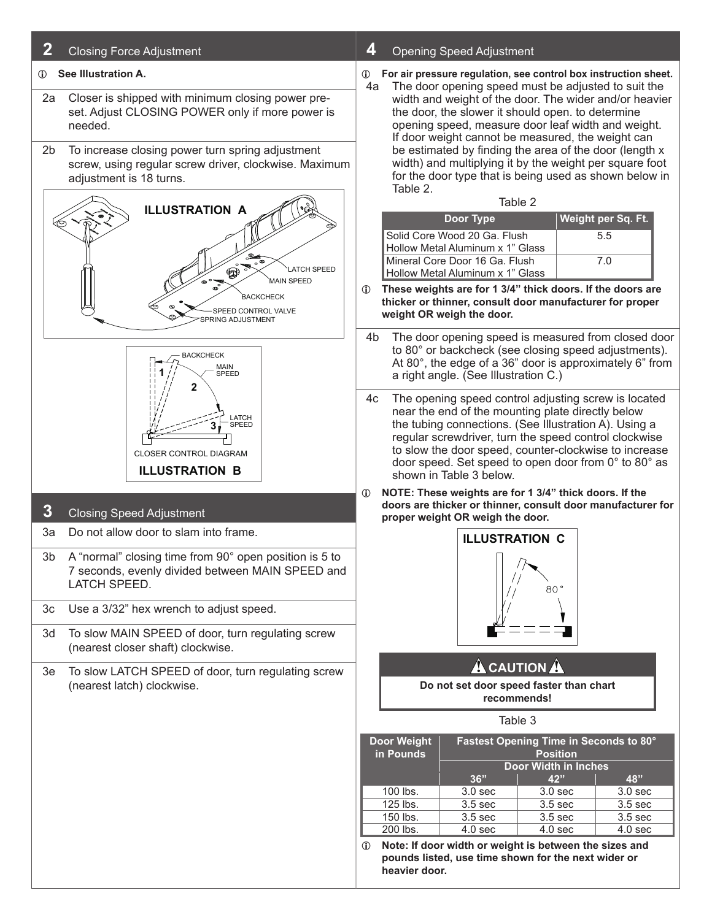| 2                                                                                                                                                            | <b>Closing Force Adjustment</b>                                                                                            | 4            |                                                                                                                                                                                                                                                                                                                                                                                                                                                                                                                                                        | <b>Opening Speed Adjustment</b>                                                                                                                                                                                                                                                                                                                                         |                                    |                                        |  |  |
|--------------------------------------------------------------------------------------------------------------------------------------------------------------|----------------------------------------------------------------------------------------------------------------------------|--------------|--------------------------------------------------------------------------------------------------------------------------------------------------------------------------------------------------------------------------------------------------------------------------------------------------------------------------------------------------------------------------------------------------------------------------------------------------------------------------------------------------------------------------------------------------------|-------------------------------------------------------------------------------------------------------------------------------------------------------------------------------------------------------------------------------------------------------------------------------------------------------------------------------------------------------------------------|------------------------------------|----------------------------------------|--|--|
| See Illustration A.<br>$\mathbb{D}$<br>Closer is shipped with minimum closing power pre-<br>2a<br>set. Adjust CLOSING POWER only if more power is<br>needed. |                                                                                                                            |              | For air pressure regulation, see control box instruction sheet.<br>⊕<br>The door opening speed must be adjusted to suit the<br>4a<br>width and weight of the door. The wider and/or heavier<br>the door, the slower it should open. to determine<br>opening speed, measure door leaf width and weight.<br>If door weight cannot be measured, the weight can<br>be estimated by finding the area of the door (length x<br>width) and multiplying it by the weight per square foot<br>for the door type that is being used as shown below in<br>Table 2. |                                                                                                                                                                                                                                                                                                                                                                         |                                    |                                        |  |  |
| 2b<br>To increase closing power turn spring adjustment<br>screw, using regular screw driver, clockwise. Maximum<br>adjustment is 18 turns.                   |                                                                                                                            |              |                                                                                                                                                                                                                                                                                                                                                                                                                                                                                                                                                        |                                                                                                                                                                                                                                                                                                                                                                         |                                    |                                        |  |  |
| <b>ILLUSTRATION A</b>                                                                                                                                        |                                                                                                                            |              |                                                                                                                                                                                                                                                                                                                                                                                                                                                                                                                                                        | Table 2                                                                                                                                                                                                                                                                                                                                                                 |                                    |                                        |  |  |
|                                                                                                                                                              |                                                                                                                            |              |                                                                                                                                                                                                                                                                                                                                                                                                                                                                                                                                                        | Door Type                                                                                                                                                                                                                                                                                                                                                               |                                    | Weight per Sq. Ft.                     |  |  |
|                                                                                                                                                              |                                                                                                                            |              |                                                                                                                                                                                                                                                                                                                                                                                                                                                                                                                                                        | Solid Core Wood 20 Ga. Flush                                                                                                                                                                                                                                                                                                                                            |                                    | 5.5                                    |  |  |
|                                                                                                                                                              | <b>ATCH SPEED</b><br>❤                                                                                                     |              |                                                                                                                                                                                                                                                                                                                                                                                                                                                                                                                                                        | Hollow Metal Aluminum x 1" Glass<br>Mineral Core Door 16 Ga. Flush                                                                                                                                                                                                                                                                                                      |                                    | 7.0                                    |  |  |
|                                                                                                                                                              | <b>MAIN SPEED</b><br><b>BACKCHECK</b><br>SPEED CONTROL VALVE<br>PRING ADJUSTMENT                                           | $\mathbf{D}$ | Hollow Metal Aluminum x 1" Glass<br>These weights are for 1 3/4" thick doors. If the doors are<br>thicker or thinner, consult door manufacturer for proper<br>weight OR weigh the door.                                                                                                                                                                                                                                                                                                                                                                |                                                                                                                                                                                                                                                                                                                                                                         |                                    |                                        |  |  |
| <b>BACKCHECK</b><br>MAIN<br>SPEED<br>2                                                                                                                       |                                                                                                                            |              | The door opening speed is measured from closed door<br>4b<br>to 80° or backcheck (see closing speed adjustments).<br>At 80°, the edge of a 36" door is approximately 6" from<br>a right angle. (See Illustration C.)                                                                                                                                                                                                                                                                                                                                   |                                                                                                                                                                                                                                                                                                                                                                         |                                    |                                        |  |  |
|                                                                                                                                                              | LATCH<br>SPEED<br><b>CLOSER CONTROL DIAGRAM</b><br><b>ILLUSTRATION B</b>                                                   | 4c           |                                                                                                                                                                                                                                                                                                                                                                                                                                                                                                                                                        | The opening speed control adjusting screw is located<br>near the end of the mounting plate directly below<br>the tubing connections. (See Illustration A). Using a<br>regular screwdriver, turn the speed control clockwise<br>to slow the door speed, counter-clockwise to increase<br>door speed. Set speed to open door from 0° to 80° as<br>shown in Table 3 below. |                                    |                                        |  |  |
| $\boldsymbol{3}$                                                                                                                                             | <b>Closing Speed Adjustment</b>                                                                                            | $\mathbb{O}$ |                                                                                                                                                                                                                                                                                                                                                                                                                                                                                                                                                        | NOTE: These weights are for 1 3/4" thick doors. If the<br>doors are thicker or thinner, consult door manufacturer for<br>proper weight OR weigh the door.                                                                                                                                                                                                               |                                    |                                        |  |  |
| 3a                                                                                                                                                           | Do not allow door to slam into frame.                                                                                      |              |                                                                                                                                                                                                                                                                                                                                                                                                                                                                                                                                                        | <b>ILLUSTRATION C</b>                                                                                                                                                                                                                                                                                                                                                   |                                    |                                        |  |  |
| 3 <sub>b</sub>                                                                                                                                               | A "normal" closing time from 90° open position is 5 to<br>7 seconds, evenly divided between MAIN SPEED and<br>LATCH SPEED. |              |                                                                                                                                                                                                                                                                                                                                                                                                                                                                                                                                                        |                                                                                                                                                                                                                                                                                                                                                                         | 80°                                |                                        |  |  |
| 3c                                                                                                                                                           | Use a 3/32" hex wrench to adjust speed.                                                                                    |              |                                                                                                                                                                                                                                                                                                                                                                                                                                                                                                                                                        |                                                                                                                                                                                                                                                                                                                                                                         |                                    |                                        |  |  |
| 3d                                                                                                                                                           | To slow MAIN SPEED of door, turn regulating screw<br>(nearest closer shaft) clockwise.                                     |              |                                                                                                                                                                                                                                                                                                                                                                                                                                                                                                                                                        |                                                                                                                                                                                                                                                                                                                                                                         |                                    |                                        |  |  |
| 3e                                                                                                                                                           | To slow LATCH SPEED of door, turn regulating screw                                                                         |              |                                                                                                                                                                                                                                                                                                                                                                                                                                                                                                                                                        | <b>A</b> CAUTION A                                                                                                                                                                                                                                                                                                                                                      |                                    |                                        |  |  |
| (nearest latch) clockwise.                                                                                                                                   |                                                                                                                            |              | Do not set door speed faster than chart<br>recommends!                                                                                                                                                                                                                                                                                                                                                                                                                                                                                                 |                                                                                                                                                                                                                                                                                                                                                                         |                                    |                                        |  |  |
|                                                                                                                                                              |                                                                                                                            |              | Table 3                                                                                                                                                                                                                                                                                                                                                                                                                                                                                                                                                |                                                                                                                                                                                                                                                                                                                                                                         |                                    |                                        |  |  |
|                                                                                                                                                              |                                                                                                                            |              | <b>Door Weight</b><br>in Pounds                                                                                                                                                                                                                                                                                                                                                                                                                                                                                                                        |                                                                                                                                                                                                                                                                                                                                                                         | <b>Position</b>                    | Fastest Opening Time in Seconds to 80° |  |  |
|                                                                                                                                                              |                                                                                                                            |              |                                                                                                                                                                                                                                                                                                                                                                                                                                                                                                                                                        | 36"                                                                                                                                                                                                                                                                                                                                                                     | <b>Door Width in Inches</b><br>42" | 48"                                    |  |  |
|                                                                                                                                                              |                                                                                                                            |              | 100 lbs.                                                                                                                                                                                                                                                                                                                                                                                                                                                                                                                                               | 3.0 <sub>sec</sub>                                                                                                                                                                                                                                                                                                                                                      | 3.0 <sub>sec</sub>                 | 3.0 <sub>sec</sub>                     |  |  |
|                                                                                                                                                              |                                                                                                                            |              | 125 lbs.                                                                                                                                                                                                                                                                                                                                                                                                                                                                                                                                               | 3.5 sec                                                                                                                                                                                                                                                                                                                                                                 | 3.5 sec                            | 3.5 <sub>sec</sub>                     |  |  |
|                                                                                                                                                              |                                                                                                                            |              | 150 lbs.                                                                                                                                                                                                                                                                                                                                                                                                                                                                                                                                               | 3.5 sec                                                                                                                                                                                                                                                                                                                                                                 | 3.5 sec                            | 3.5 <sub>sec</sub>                     |  |  |
|                                                                                                                                                              |                                                                                                                            | $^\circledR$ | 200 lbs.<br>heavier door.                                                                                                                                                                                                                                                                                                                                                                                                                                                                                                                              | 4.0 <sub>sec</sub><br>Note: If door width or weight is between the sizes and<br>pounds listed, use time shown for the next wider or                                                                                                                                                                                                                                     | 4.0 sec                            | 4.0 <sub>sec</sub>                     |  |  |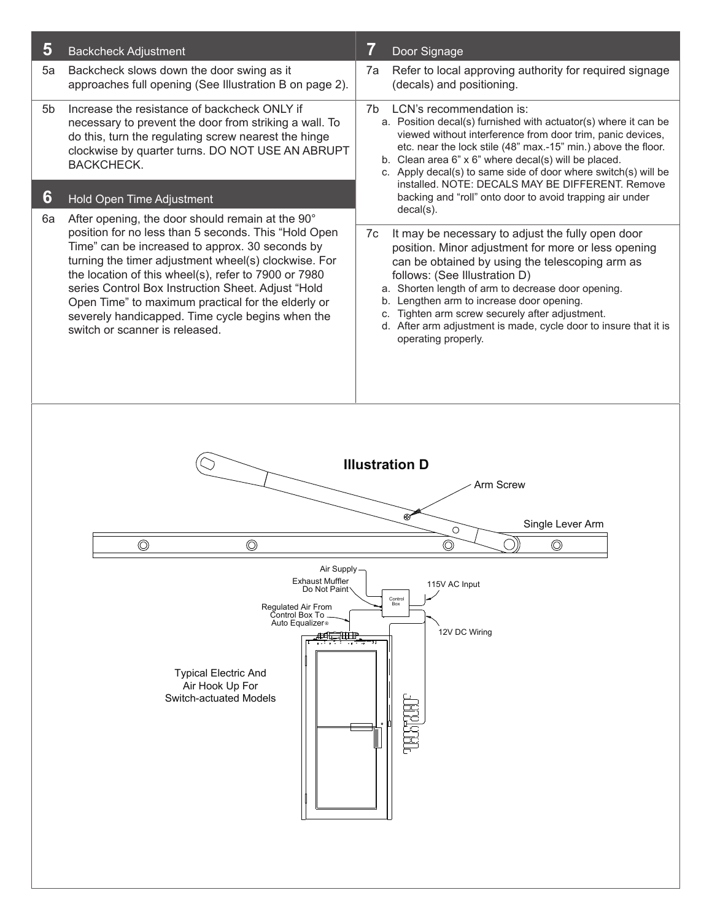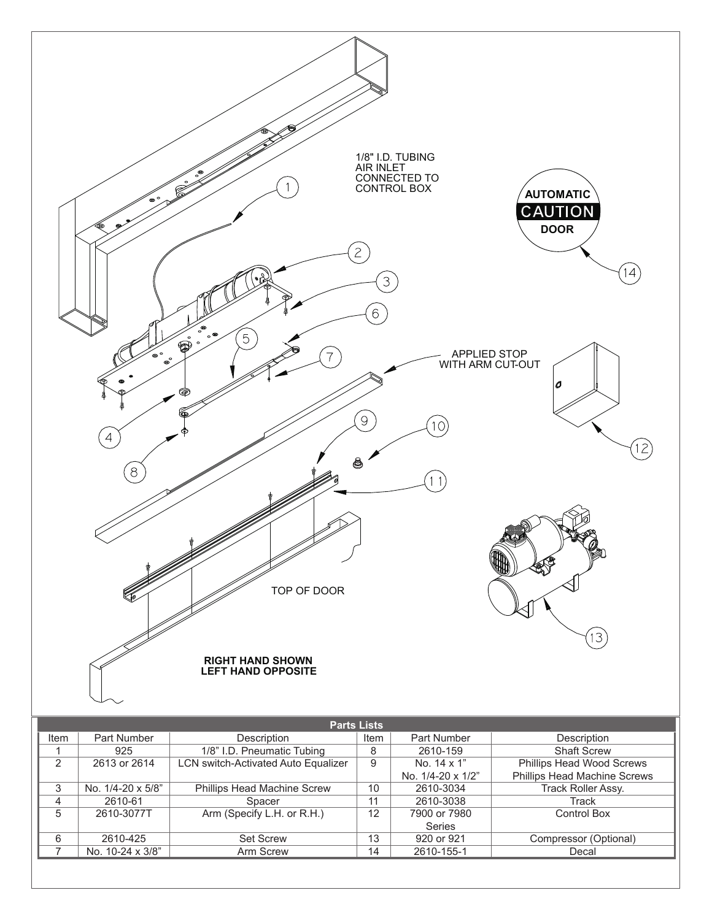

| <b>Parts Lists</b> |                   |                                     |      |                   |                              |  |  |  |  |
|--------------------|-------------------|-------------------------------------|------|-------------------|------------------------------|--|--|--|--|
| Item               | Part Number       | Description                         | Item | Part Number       | Description                  |  |  |  |  |
|                    | 925               | 1/8" I.D. Pneumatic Tubing          | 8    | 2610-159          | <b>Shaft Screw</b>           |  |  |  |  |
| $\overline{2}$     | 2613 or 2614      | LCN switch-Activated Auto Equalizer | 9    | No. 14 x 1"       | Phillips Head Wood Screws    |  |  |  |  |
|                    |                   |                                     |      | No. 1/4-20 x 1/2" | Phillips Head Machine Screws |  |  |  |  |
| 3                  | No. 1/4-20 x 5/8" | Phillips Head Machine Screw         | 10   | 2610-3034         | Track Roller Assy.           |  |  |  |  |
| 4                  | 2610-61           | Spacer                              | 11   | 2610-3038         | Track                        |  |  |  |  |
| 5                  | 2610-3077T        | Arm (Specify L.H. or R.H.)          | 12   | 7900 or 7980      | <b>Control Box</b>           |  |  |  |  |
|                    |                   |                                     |      | <b>Series</b>     |                              |  |  |  |  |
| 6                  | 2610-425          | <b>Set Screw</b>                    | 13   | 920 or 921        | Compressor (Optional)        |  |  |  |  |
|                    | No. 10-24 x 3/8"  | Arm Screw                           | 14   | 2610-155-1        | Decal                        |  |  |  |  |
|                    |                   |                                     |      |                   |                              |  |  |  |  |